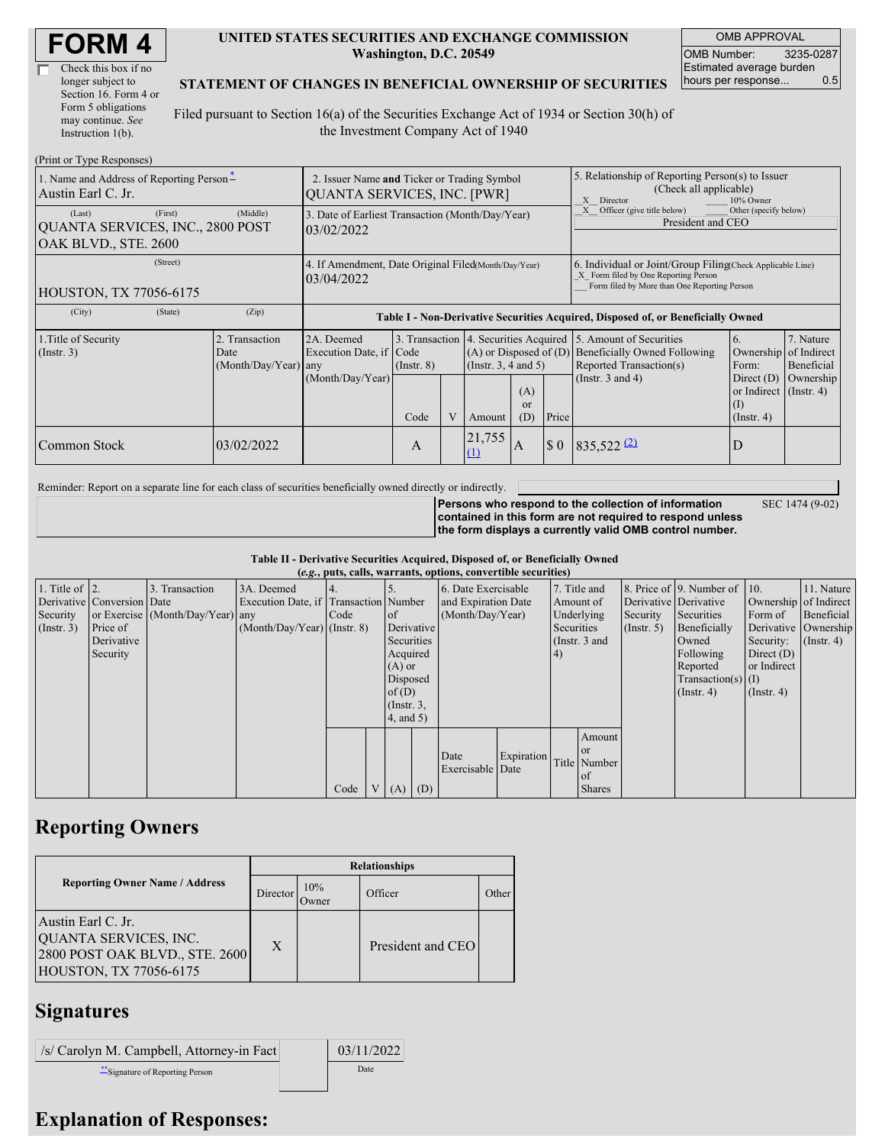| <b>FORM4</b> |
|--------------|
|--------------|

| Check this box if no  |
|-----------------------|
| longer subject to     |
| Section 16. Form 4 or |
| Form 5 obligations    |
| may continue. See     |
| Instruction $1(b)$ .  |

#### **UNITED STATES SECURITIES AND EXCHANGE COMMISSION Washington, D.C. 20549**

OMB APPROVAL OMB Number: 3235-0287 Estimated average burden hours per response... 0.5

#### **STATEMENT OF CHANGES IN BENEFICIAL OWNERSHIP OF SECURITIES**

Filed pursuant to Section 16(a) of the Securities Exchange Act of 1934 or Section 30(h) of the Investment Company Act of 1940

| (Print or Type Responses)                                                                                       |                                                                                   |                                                                                  |                         |  |               |                                                                                                                                                    |                                                                                                          |                                                                                                                    |                                                                                                        |                                                     |
|-----------------------------------------------------------------------------------------------------------------|-----------------------------------------------------------------------------------|----------------------------------------------------------------------------------|-------------------------|--|---------------|----------------------------------------------------------------------------------------------------------------------------------------------------|----------------------------------------------------------------------------------------------------------|--------------------------------------------------------------------------------------------------------------------|--------------------------------------------------------------------------------------------------------|-----------------------------------------------------|
| 1. Name and Address of Reporting Person-<br>Austin Earl C. Jr.                                                  | 2. Issuer Name and Ticker or Trading Symbol<br><b>QUANTA SERVICES, INC. [PWR]</b> |                                                                                  |                         |  |               |                                                                                                                                                    | 5. Relationship of Reporting Person(s) to Issuer<br>(Check all applicable)<br>10% Owner<br>X<br>Director |                                                                                                                    |                                                                                                        |                                                     |
| (First)<br>(Last)<br>QUANTA SERVICES, INC., 2800 POST<br>OAK BLVD., STE. 2600                                   | (Middle)                                                                          | 3. Date of Earliest Transaction (Month/Day/Year)<br>03/02/2022                   |                         |  |               |                                                                                                                                                    | Officer (give title below)<br>Other (specify below)<br>President and CEO                                 |                                                                                                                    |                                                                                                        |                                                     |
| (Street)<br>4. If Amendment, Date Original Filed(Month/Day/Year)<br>03/04/2022<br><b>HOUSTON, TX 77056-6175</b> |                                                                                   |                                                                                  |                         |  |               | 6. Individual or Joint/Group Filing Check Applicable Line)<br>X Form filed by One Reporting Person<br>Form filed by More than One Reporting Person |                                                                                                          |                                                                                                                    |                                                                                                        |                                                     |
| (City)<br>(State)                                                                                               | (Zip)                                                                             | Table I - Non-Derivative Securities Acquired, Disposed of, or Beneficially Owned |                         |  |               |                                                                                                                                                    |                                                                                                          |                                                                                                                    |                                                                                                        |                                                     |
| 1. Title of Security<br>$($ Instr. 3 $)$                                                                        | 2. Transaction<br>Date<br>(Month/Day/Year) any                                    | 2A. Deemed<br>Execution Date, if Code<br>(Month/Day/Year)                        | $($ Instr. $8)$<br>Code |  | Amount        | 3. Transaction 4. Securities Acquired<br>$(A)$ or Disposed of $(D)$<br>(Insert. 3, 4 and 5)<br>(A)<br>or<br>(D)<br>Price                           |                                                                                                          | 5. Amount of Securities<br><b>Beneficially Owned Following</b><br>Reported Transaction(s)<br>(Instr. $3$ and $4$ ) | 6.<br>Ownership<br>Form:<br>Direct $(D)$<br>or Indirect $($ Instr. 4 $)$<br>$($ I)<br>$($ Instr. 4 $)$ | 7. Nature<br>of Indirect<br>Beneficial<br>Ownership |
| Common Stock                                                                                                    | 03/02/2022                                                                        |                                                                                  | A                       |  | 21,755<br>(1) | IA                                                                                                                                                 | $\boldsymbol{\mathsf{S}}$ 0                                                                              | $835,522$ $(2)$                                                                                                    | D                                                                                                      |                                                     |

Reminder: Report on a separate line for each class of securities beneficially owned directly or indirectly.

**Persons who respond to the collection of information contained in this form are not required to respond unless the form displays a currently valid OMB control number.**

SEC 1474 (9-02)

**Table II - Derivative Securities Acquired, Disposed of, or Beneficially Owned**

| (e.g., puts, calls, warrants, options, convertible securities) |                            |                                  |                                       |      |                |                 |                     |                  |              |               |               |                              |                       |                      |                  |
|----------------------------------------------------------------|----------------------------|----------------------------------|---------------------------------------|------|----------------|-----------------|---------------------|------------------|--------------|---------------|---------------|------------------------------|-----------------------|----------------------|------------------|
| 1. Title of $\vert$ 2.                                         |                            | 3. Transaction                   | 3A. Deemed                            |      |                |                 | 6. Date Exercisable |                  | 7. Title and |               |               | 8. Price of 9. Number of 10. |                       | 11. Nature           |                  |
|                                                                | Derivative Conversion Date |                                  | Execution Date, if Transaction Number |      |                |                 | and Expiration Date |                  | Amount of    |               |               | Derivative Derivative        | Ownership of Indirect |                      |                  |
| Security                                                       |                            | or Exercise (Month/Day/Year) any |                                       | Code |                | of              | (Month/Day/Year)    |                  | Underlying   |               | Security      | Securities                   | Form of               | Beneficial           |                  |
| (Insert. 3)                                                    | Price of                   |                                  | $(Month/Day/Year)$ (Instr. 8)         |      |                | Derivative      |                     |                  |              | Securities    |               | $($ Instr. 5 $)$             | Beneficially          | Derivative Ownership |                  |
|                                                                | Derivative                 |                                  |                                       |      |                | Securities      |                     |                  |              | (Instr. 3 and |               |                              | Owned                 | Security:            | $($ Instr. 4 $)$ |
|                                                                | Security                   |                                  |                                       |      |                | Acquired        |                     |                  |              | 4)            |               |                              | Following             | Direct $(D)$         |                  |
|                                                                |                            |                                  |                                       |      |                | $(A)$ or        |                     |                  |              |               |               |                              | Reported              | or Indirect          |                  |
|                                                                |                            |                                  |                                       |      |                | Disposed        |                     |                  |              |               |               |                              | $Transaction(s)$ (I)  |                      |                  |
|                                                                |                            |                                  |                                       |      |                | of(D)           |                     |                  |              |               |               |                              | $($ Instr. 4 $)$      | $($ Instr. 4 $)$     |                  |
|                                                                |                            |                                  |                                       |      |                | $($ Instr. $3,$ |                     |                  |              |               |               |                              |                       |                      |                  |
|                                                                |                            |                                  |                                       |      |                | $4$ , and $5$ ) |                     |                  |              |               |               |                              |                       |                      |                  |
|                                                                |                            |                                  |                                       |      |                |                 |                     |                  |              |               | Amount        |                              |                       |                      |                  |
|                                                                |                            |                                  |                                       |      |                |                 |                     |                  |              |               | <b>or</b>     |                              |                       |                      |                  |
|                                                                |                            |                                  |                                       |      |                |                 |                     | Date             | Expiration   |               | Title Number  |                              |                       |                      |                  |
|                                                                |                            |                                  |                                       |      |                |                 |                     | Exercisable Date |              |               | of of         |                              |                       |                      |                  |
|                                                                |                            |                                  |                                       | Code | V <sub>1</sub> | (A)             | (D)                 |                  |              |               | <b>Shares</b> |                              |                       |                      |                  |

### **Reporting Owners**

|                                                                                                                | <b>Relationships</b> |              |                   |       |  |  |  |  |  |
|----------------------------------------------------------------------------------------------------------------|----------------------|--------------|-------------------|-------|--|--|--|--|--|
| <b>Reporting Owner Name / Address</b>                                                                          | Director             | 10%<br>Owner | Officer           | Other |  |  |  |  |  |
| Austin Earl C. Jr.<br>QUANTA SERVICES, INC.<br>2800 POST OAK BLVD., STE. 2600<br><b>HOUSTON, TX 77056-6175</b> | X                    |              | President and CEO |       |  |  |  |  |  |

## **Signatures**

| /s/ Carolyn M. Campbell, Attorney-in Fact | 03/11/2022 |
|-------------------------------------------|------------|
| *** Signature of Reporting Person         | Date       |

# **Explanation of Responses:**